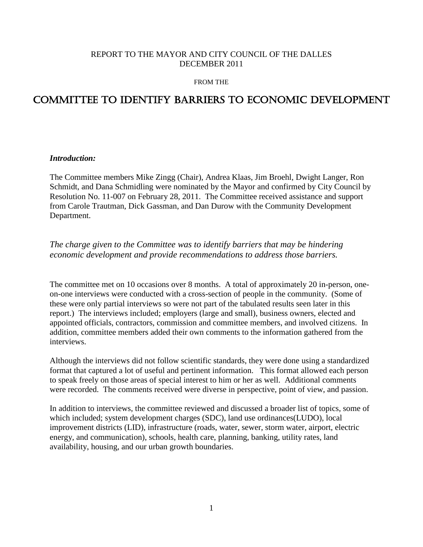# REPORT TO THE MAYOR AND CITY COUNCIL OF THE DALLES DECEMBER 2011

#### FROM THE

# COMMITTEE TO IDENTIFY BARRIERS TO ECONOMIC DEVELOPMENT

#### *Introduction:*

The Committee members Mike Zingg (Chair), Andrea Klaas, Jim Broehl, Dwight Langer, Ron Schmidt, and Dana Schmidling were nominated by the Mayor and confirmed by City Council by Resolution No. 11-007 on February 28, 2011. The Committee received assistance and support from Carole Trautman, Dick Gassman, and Dan Durow with the Community Development Department.

# *The charge given to the Committee was to identify barriers that may be hindering economic development and provide recommendations to address those barriers.*

The committee met on 10 occasions over 8 months. A total of approximately 20 in-person, oneon-one interviews were conducted with a cross-section of people in the community. (Some of these were only partial interviews so were not part of the tabulated results seen later in this report.) The interviews included; employers (large and small), business owners, elected and appointed officials, contractors, commission and committee members, and involved citizens. In addition, committee members added their own comments to the information gathered from the interviews.

Although the interviews did not follow scientific standards, they were done using a standardized format that captured a lot of useful and pertinent information. This format allowed each person to speak freely on those areas of special interest to him or her as well. Additional comments were recorded. The comments received were diverse in perspective, point of view, and passion.

In addition to interviews, the committee reviewed and discussed a broader list of topics, some of which included; system development charges (SDC), land use ordinances(LUDO), local improvement districts (LID), infrastructure (roads, water, sewer, storm water, airport, electric energy, and communication), schools, health care, planning, banking, utility rates, land availability, housing, and our urban growth boundaries.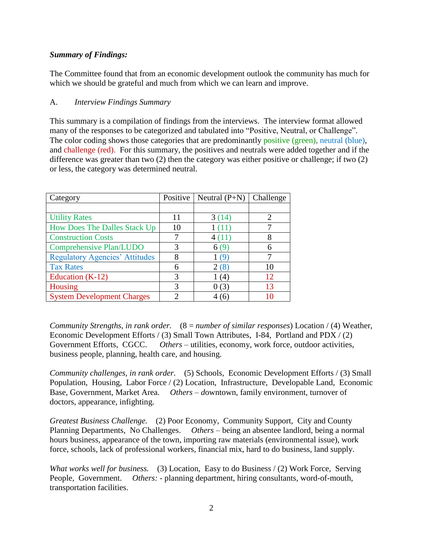# *Summary of Findings:*

The Committee found that from an economic development outlook the community has much for which we should be grateful and much from which we can learn and improve.

# A. *Interview Findings Summary*

This summary is a compilation of findings from the interviews. The interview format allowed many of the responses to be categorized and tabulated into "Positive, Neutral, or Challenge". The color coding shows those categories that are predominantly positive (green), neutral (blue), and challenge (red). For this summary, the positives and neutrals were added together and if the difference was greater than two (2) then the category was either positive or challenge; if two (2) or less, the category was determined neutral.

| Category                              | Positive | Neutral $(P+N)$ | Challenge |
|---------------------------------------|----------|-----------------|-----------|
|                                       |          |                 |           |
| <b>Utility Rates</b>                  | 11       | 3(14)           |           |
| How Does The Dalles Stack Up          | 10       | 1(11)           |           |
| <b>Construction Costs</b>             | 7        | 4(11)           |           |
| Comprehensive Plan/LUDO               | 3        | 6(9)            |           |
| <b>Regulatory Agencies' Attitudes</b> | 8        | 1 (9)           |           |
| <b>Tax Rates</b>                      | 6        | 2(8)            | 10        |
| Education $(K-12)$                    | 3        | (4)             | 12        |
| Housing                               | 3        | 0(3)            | 13        |
| <b>System Development Charges</b>     | 2        |                 |           |

*Community Strengths, in rank order.* (8 = *number of similar responses*) Location / (4) Weather, Economic Development Efforts / (3) Small Town Attributes, I-84, Portland and PDX / (2) Government Efforts, CGCC. *Others* – utilities, economy, work force, outdoor activities, business people, planning, health care, and housing.

*Community challenges, in rank order.* (5) Schools, Economic Development Efforts / (3) Small Population, Housing, Labor Force / (2) Location, Infrastructure, Developable Land, Economic Base, Government, Market Area. *Others – downtown*, family environment, turnover of doctors, appearance, infighting.

*Greatest Business Challenge.* (2) Poor Economy, Community Support, City and County Planning Departments, No Challenges. *Others –* being an absentee landlord, being a normal hours business, appearance of the town, importing raw materials (environmental issue), work force, schools, lack of professional workers, financial mix, hard to do business, land supply.

*What works well for business.* (3) Location, Easy to do Business / (2) Work Force, Serving People, Government. *Others:* - planning department, hiring consultants, word-of-mouth, transportation facilities.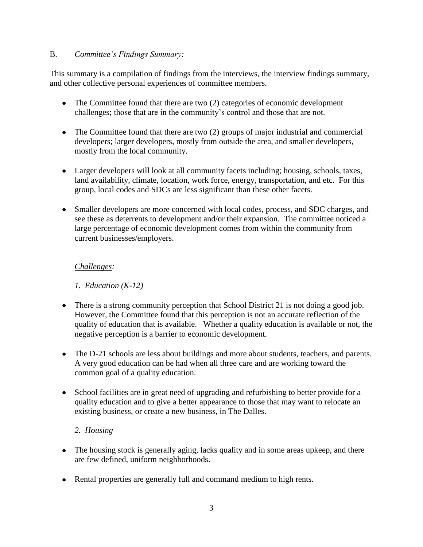#### B. *Committee's Findings Summary:*

This summary is a compilation of findings from the interviews, the interview findings summary, and other collective personal experiences of committee members.

- The Committee found that there are two (2) categories of economic development challenges; those that are in the community's control and those that are not.
- The Committee found that there are two (2) groups of major industrial and commercial developers; larger developers, mostly from outside the area, and smaller developers, mostly from the local community.
- Larger developers will look at all community facets including; housing, schools, taxes, land availability, climate, location, work force, energy, transportation, and etc. For this group, local codes and SDCs are less significant than these other facets.
- Smaller developers are more concerned with local codes, process, and SDC charges, and see these as deterrents to development and/or their expansion. The committee noticed a large percentage of economic development comes from within the community from current businesses/employers.

# *Challenges:*

*1. Education (K-12)*

- There is a strong community perception that School District 21 is not doing a good job. However, the Committee found that this perception is not an accurate reflection of the quality of education that is available. Whether a quality education is available or not, the negative perception is a barrier to economic development.
- The D-21 schools are less about buildings and more about students, teachers, and parents. A very good education can be had when all three care and are working toward the common goal of a quality education.
- School facilities are in great need of upgrading and refurbishing to better provide for a quality education and to give a better appearance to those that may want to relocate an existing business, or create a new business, in The Dalles.

# *2. Housing*

- The housing stock is generally aging, lacks quality and in some areas upkeep, and there are few defined, uniform neighborhoods.
- Rental properties are generally full and command medium to high rents.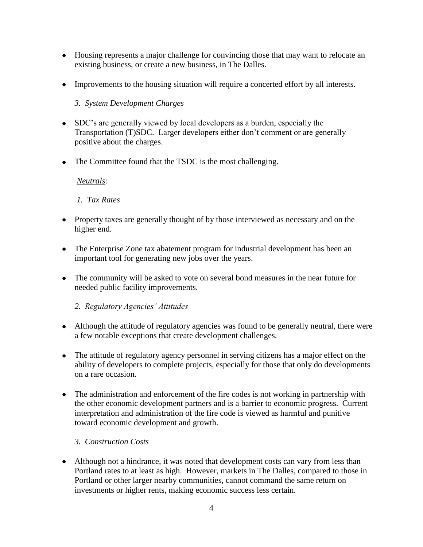- Housing represents a major challenge for convincing those that may want to relocate an existing business, or create a new business, in The Dalles.
- Improvements to the housing situation will require a concerted effort by all interests.

# *3. System Development Charges*

- SDC's are generally viewed by local developers as a burden, especially the Transportation (T)SDC. Larger developers either don't comment or are generally positive about the charges.
- The Committee found that the TSDC is the most challenging.

#### *Neutrals:*

# *1. Tax Rates*

- Property taxes are generally thought of by those interviewed as necessary and on the higher end.
- The Enterprise Zone tax abatement program for industrial development has been an important tool for generating new jobs over the years.
- The community will be asked to vote on several bond measures in the near future for needed public facility improvements.

# *2. Regulatory Agencies' Attitudes*

- Although the attitude of regulatory agencies was found to be generally neutral, there were a few notable exceptions that create development challenges.
- The attitude of regulatory agency personnel in serving citizens has a major effect on the ability of developers to complete projects, especially for those that only do developments on a rare occasion.
- The administration and enforcement of the fire codes is not working in partnership with the other economic development partners and is a barrier to economic progress. Current interpretation and administration of the fire code is viewed as harmful and punitive toward economic development and growth.

# *3. Construction Costs*

• Although not a hindrance, it was noted that development costs can vary from less than Portland rates to at least as high. However, markets in The Dalles, compared to those in Portland or other larger nearby communities, cannot command the same return on investments or higher rents, making economic success less certain.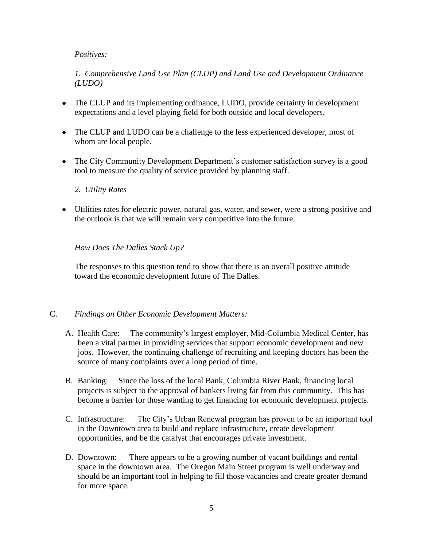#### *Positives:*

*1. Comprehensive Land Use Plan (CLUP) and Land Use and Development Ordinance (LUDO)*

- The CLUP and its implementing ordinance, LUDO, provide certainty in development expectations and a level playing field for both outside and local developers.
- The CLUP and LUDO can be a challenge to the less experienced developer, most of whom are local people.
- The City Community Development Department's customer satisfaction survey is a good tool to measure the quality of service provided by planning staff.

#### *2. Utility Rates*

Utilities rates for electric power, natural gas, water, and sewer, were a strong positive and the outlook is that we will remain very competitive into the future.

#### *How Does The Dalles Stack Up?*

The responses to this question tend to show that there is an overall positive attitude toward the economic development future of The Dalles.

#### C. *Findings on Other Economic Development Matters:*

- A. Health Care: The community's largest employer, Mid-Columbia Medical Center, has been a vital partner in providing services that support economic development and new jobs. However, the continuing challenge of recruiting and keeping doctors has been the source of many complaints over a long period of time.
- B. Banking: Since the loss of the local Bank, Columbia River Bank, financing local projects is subject to the approval of bankers living far from this community. This has become a barrier for those wanting to get financing for economic development projects.
- C. Infrastructure: The City's Urban Renewal program has proven to be an important tool in the Downtown area to build and replace infrastructure, create development opportunities, and be the catalyst that encourages private investment.
- D. Downtown: There appears to be a growing number of vacant buildings and rental space in the downtown area. The Oregon Main Street program is well underway and should be an important tool in helping to fill those vacancies and create greater demand for more space.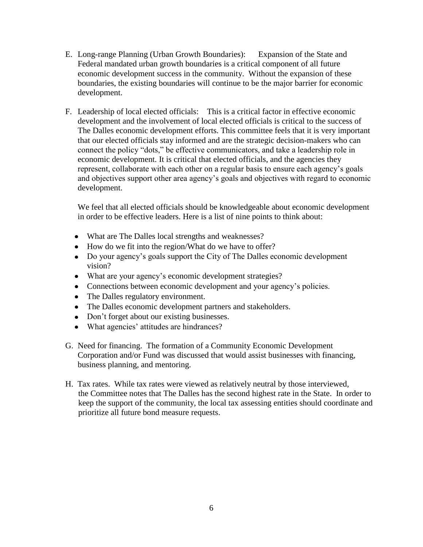- E. Long-range Planning (Urban Growth Boundaries): Expansion of the State and Federal mandated urban growth boundaries is a critical component of all future economic development success in the community. Without the expansion of these boundaries, the existing boundaries will continue to be the major barrier for economic development.
- F. Leadership of local elected officials: This is a critical factor in effective economic development and the involvement of local elected officials is critical to the success of The Dalles economic development efforts. This committee feels that it is very important that our elected officials stay informed and are the strategic decision-makers who can connect the policy "dots," be effective communicators, and take a leadership role in economic development. It is critical that elected officials, and the agencies they represent, collaborate with each other on a regular basis to ensure each agency's goals and objectives support other area agency's goals and objectives with regard to economic development.

We feel that all elected officials should be knowledgeable about economic development in order to be effective leaders. Here is a list of nine points to think about:

- What are The Dalles local strengths and weaknesses?
- How do we fit into the region/What do we have to offer?
- Do your agency's goals support the City of The Dalles economic development vision?
- What are your agency's economic development strategies?
- Connections between economic development and your agency's policies.
- The Dalles regulatory environment.
- The Dalles economic development partners and stakeholders.
- Don't forget about our existing businesses.
- What agencies' attitudes are hindrances?
- G. Need for financing. The formation of a Community Economic Development Corporation and/or Fund was discussed that would assist businesses with financing, business planning, and mentoring.
- H. Tax rates. While tax rates were viewed as relatively neutral by those interviewed, the Committee notes that The Dalles has the second highest rate in the State. In order to keep the support of the community, the local tax assessing entities should coordinate and prioritize all future bond measure requests.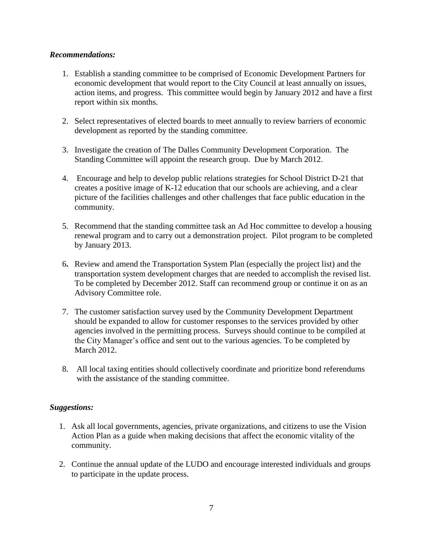#### *Recommendations:*

- 1. Establish a standing committee to be comprised of Economic Development Partners for economic development that would report to the City Council at least annually on issues, action items, and progress. This committee would begin by January 2012 and have a first report within six months.
- 2. Select representatives of elected boards to meet annually to review barriers of economic development as reported by the standing committee.
- 3. Investigate the creation of The Dalles Community Development Corporation. The Standing Committee will appoint the research group. Due by March 2012.
- 4. Encourage and help to develop public relations strategies for School District D-21 that creates a positive image of K-12 education that our schools are achieving, and a clear picture of the facilities challenges and other challenges that face public education in the community.
- 5. Recommend that the standing committee task an Ad Hoc committee to develop a housing renewal program and to carry out a demonstration project. Pilot program to be completed by January 2013.
- 6**.** Review and amend the Transportation System Plan (especially the project list) and the transportation system development charges that are needed to accomplish the revised list. To be completed by December 2012. Staff can recommend group or continue it on as an Advisory Committee role.
- 7. The customer satisfaction survey used by the Community Development Department should be expanded to allow for customer responses to the services provided by other agencies involved in the permitting process. Surveys should continue to be compiled at the City Manager's office and sent out to the various agencies. To be completed by March 2012.
- 8. All local taxing entities should collectively coordinate and prioritize bond referendums with the assistance of the standing committee.

# *Suggestions:*

- 1. Ask all local governments, agencies, private organizations, and citizens to use the Vision Action Plan as a guide when making decisions that affect the economic vitality of the community.
- 2. Continue the annual update of the LUDO and encourage interested individuals and groups to participate in the update process.